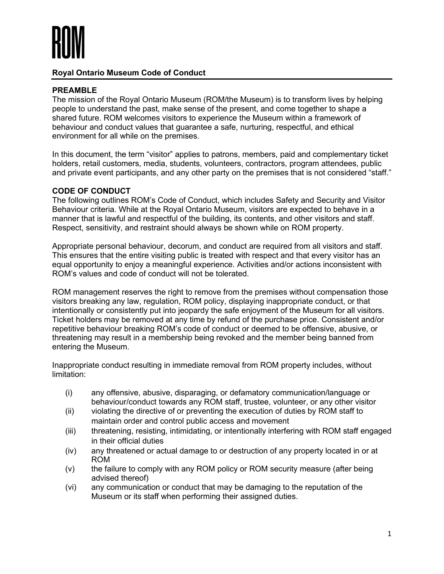

### **Royal Ontario Museum Code of Conduct**

## **PREAMBLE**

The mission of the Royal Ontario Museum (ROM/the Museum) is to transform lives by helping people to understand the past, make sense of the present, and come together to shape a shared future. ROM welcomes visitors to experience the Museum within a framework of behaviour and conduct values that guarantee a safe, nurturing, respectful, and ethical environment for all while on the premises.

In this document, the term "visitor" applies to patrons, members, paid and complementary ticket holders, retail customers, media, students, volunteers, contractors, program attendees, public and private event participants, and any other party on the premises that is not considered "staff."

## **CODE OF CONDUCT**

The following outlines ROM's Code of Conduct, which includes Safety and Security and Visitor Behaviour criteria. While at the Royal Ontario Museum, visitors are expected to behave in a manner that is lawful and respectful of the building, its contents, and other visitors and staff. Respect, sensitivity, and restraint should always be shown while on ROM property.

Appropriate personal behaviour, decorum, and conduct are required from all visitors and staff. This ensures that the entire visiting public is treated with respect and that every visitor has an equal opportunity to enjoy a meaningful experience. Activities and/or actions inconsistent with ROM's values and code of conduct will not be tolerated.

ROM management reserves the right to remove from the premises without compensation those visitors breaking any law, regulation, ROM policy, displaying inappropriate conduct, or that intentionally or consistently put into jeopardy the safe enjoyment of the Museum for all visitors. Ticket holders may be removed at any time by refund of the purchase price. Consistent and/or repetitive behaviour breaking ROM's code of conduct or deemed to be offensive, abusive, or threatening may result in a membership being revoked and the member being banned from entering the Museum.

Inappropriate conduct resulting in immediate removal from ROM property includes, without limitation:

- (i) any offensive, abusive, disparaging, or defamatory communication/language or behaviour/conduct towards any ROM staff, trustee, volunteer, or any other visitor
- (ii) violating the directive of or preventing the execution of duties by ROM staff to maintain order and control public access and movement
- (iii) threatening, resisting, intimidating, or intentionally interfering with ROM staff engaged in their official duties
- (iv) any threatened or actual damage to or destruction of any property located in or at ROM
- (v) the failure to comply with any ROM policy or ROM security measure (after being advised thereof)
- (vi) any communication or conduct that may be damaging to the reputation of the Museum or its staff when performing their assigned duties.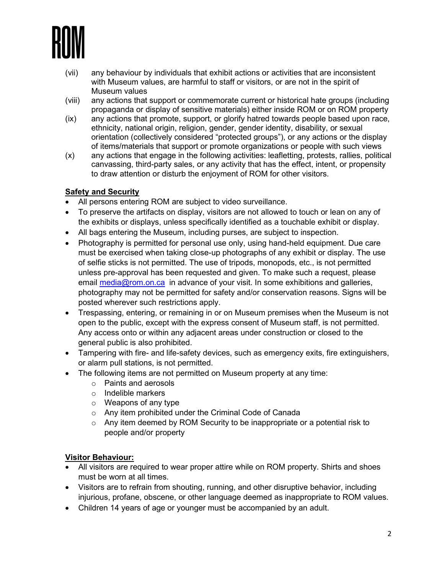

- (vii) any behaviour by individuals that exhibit actions or activities that are inconsistent with Museum values, are harmful to staff or visitors, or are not in the spirit of Museum values
- (viii) any actions that support or commemorate current or historical hate groups (including propaganda or display of sensitive materials) either inside ROM or on ROM property
- (ix) any actions that promote, support, or glorify hatred towards people based upon race, ethnicity, national origin, religion, gender, gender identity, disability, or sexual orientation (collectively considered "protected groups"), or any actions or the display of items/materials that support or promote organizations or people with such views
- (x) any actions that engage in the following activities: leafletting, protests, rallies, political canvassing, third-party sales, or any activity that has the effect, intent, or propensity to draw attention or disturb the enjoyment of ROM for other visitors.

# **Safety and Security**

- All persons entering ROM are subject to video surveillance.
- To preserve the artifacts on display, visitors are not allowed to touch or lean on any of the exhibits or displays, unless specifically identified as a touchable exhibit or display.
- All bags entering the Museum, including purses, are subject to inspection.
- Photography is permitted for personal use only, using hand-held equipment. Due care must be exercised when taking close-up photographs of any exhibit or display. The use of selfie sticks is not permitted. The use of tripods, monopods, etc., is not permitted unless pre-approval has been requested and given. To make such a request, please email [media@rom.on.ca](mailto:media@rom.on.ca) in advance of your visit. In some exhibitions and galleries, photography may not be permitted for safety and/or conservation reasons. Signs will be posted wherever such restrictions apply.
- Trespassing, entering, or remaining in or on Museum premises when the Museum is not open to the public, except with the express consent of Museum staff, is not permitted. Any access onto or within any adjacent areas under construction or closed to the general public is also prohibited.
- Tampering with fire- and life-safety devices, such as emergency exits, fire extinguishers, or alarm pull stations, is not permitted.
- The following items are not permitted on Museum property at any time:
	- o Paints and aerosols
	- o Indelible markers
	- o Weapons of any type
	- o Any item prohibited under the Criminal Code of Canada
	- o Any item deemed by ROM Security to be inappropriate or a potential risk to people and/or property

# **Visitor Behaviour:**

- All visitors are required to wear proper attire while on ROM property. Shirts and shoes must be worn at all times.
- Visitors are to refrain from shouting, running, and other disruptive behavior, including injurious, profane, obscene, or other language deemed as inappropriate to ROM values.
- Children 14 years of age or younger must be accompanied by an adult.